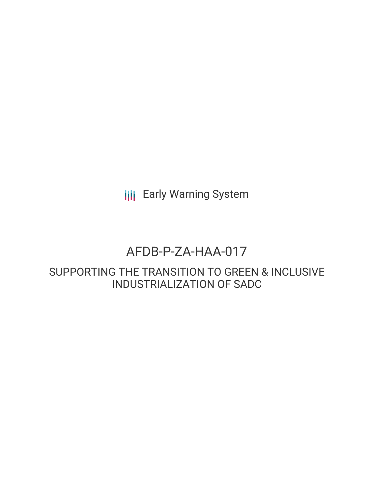**III** Early Warning System

# AFDB-P-ZA-HAA-017

SUPPORTING THE TRANSITION TO GREEN & INCLUSIVE INDUSTRIALIZATION OF SADC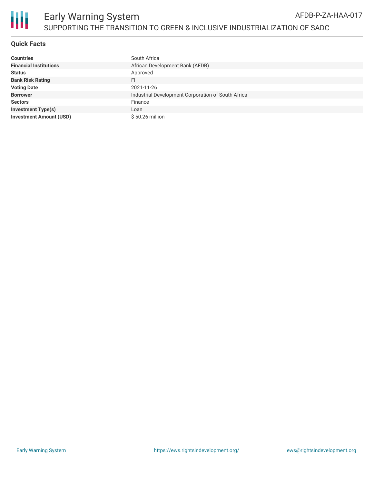

## **Quick Facts**

| <b>Countries</b>               | South Africa                                       |
|--------------------------------|----------------------------------------------------|
| <b>Financial Institutions</b>  | African Development Bank (AFDB)                    |
| <b>Status</b>                  | Approved                                           |
| <b>Bank Risk Rating</b>        | FI                                                 |
| <b>Voting Date</b>             | 2021-11-26                                         |
| <b>Borrower</b>                | Industrial Development Corporation of South Africa |
| <b>Sectors</b>                 | Finance                                            |
| <b>Investment Type(s)</b>      | Loan                                               |
| <b>Investment Amount (USD)</b> | $$50.26$ million                                   |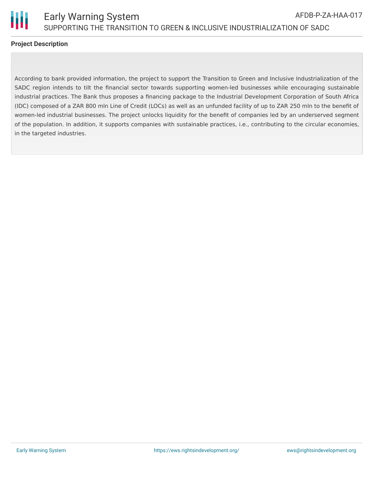

### **Project Description**

According to bank provided information, the project to support the Transition to Green and Inclusive Industrialization of the SADC region intends to tilt the financial sector towards supporting women-led businesses while encouraging sustainable industrial practices. The Bank thus proposes a financing package to the Industrial Development Corporation of South Africa (IDC) composed of a ZAR 800 mln Line of Credit (LOCs) as well as an unfunded facility of up to ZAR 250 mln to the benefit of women-led industrial businesses. The project unlocks liquidity for the benefit of companies led by an underserved segment of the population. In addition, it supports companies with sustainable practices, i.e., contributing to the circular economies, in the targeted industries.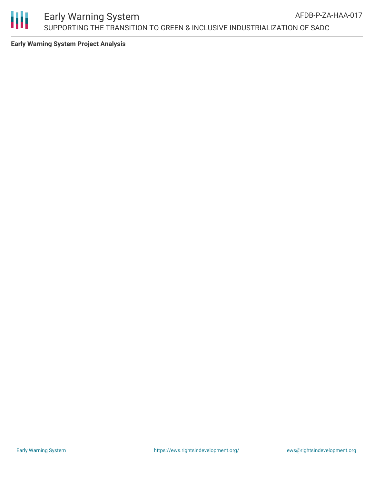

**Early Warning System Project Analysis**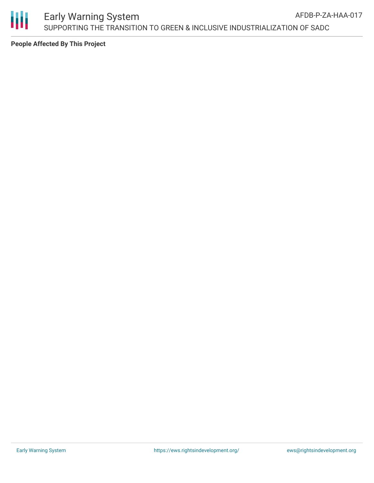

**People Affected By This Project**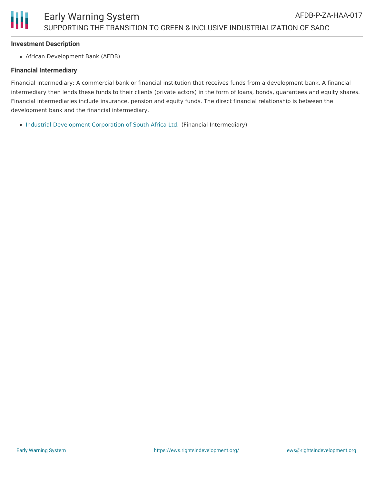#### **Investment Description**

African Development Bank (AFDB)

#### **Financial Intermediary**

Financial Intermediary: A commercial bank or financial institution that receives funds from a development bank. A financial intermediary then lends these funds to their clients (private actors) in the form of loans, bonds, guarantees and equity shares. Financial intermediaries include insurance, pension and equity funds. The direct financial relationship is between the development bank and the financial intermediary.

• Industrial [Development](file:///actor/1044/) Corporation of South Africa Ltd. (Financial Intermediary)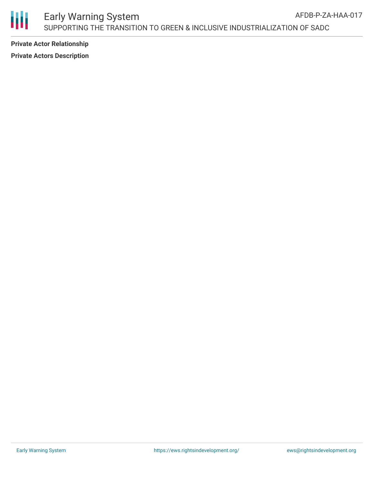

**Private Actor Relationship Private Actors Description**